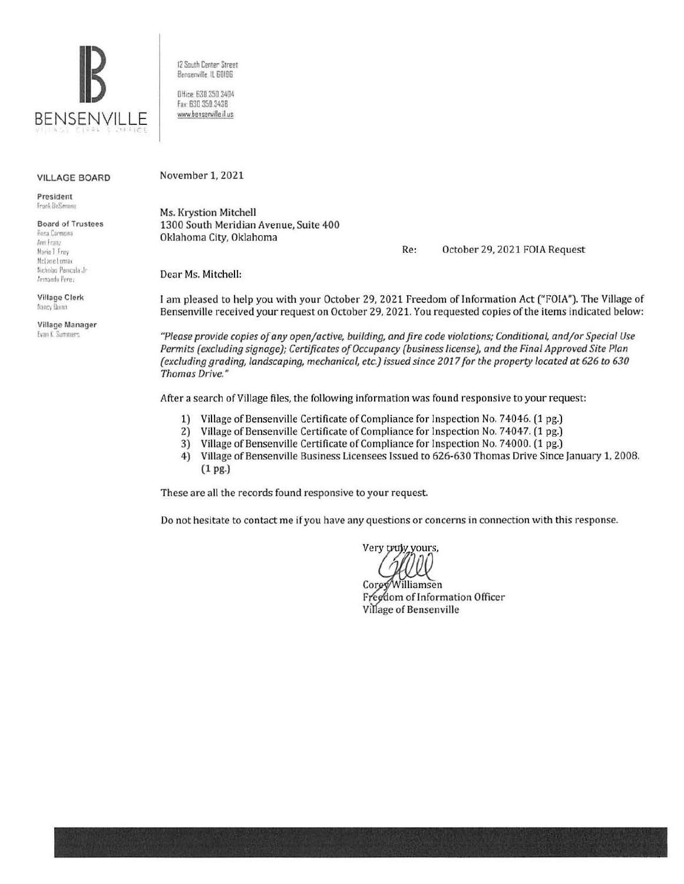

12 South Center Street Bensenville, IL 60106

Office: 630.350.3404 Fax: 630 350 3438 www.bensenville.il.us

#### **VILLAGE BOARD**

President Frank DeSimone

#### **Board of Trustees** Rosa Carmona Ann Franz Marie 1 Frey

MoLane Lomax Nicholas Panicola Jr. Armando Perez

**Village Clerk** Nancy Durno

Village Manager Evan K. Summers

November 1, 2021

Ms. Krystion Mitchell 1300 South Meridian Avenue, Suite 400 Oklahoma City, Oklahoma

Re: October 29, 2021 FOIA Request

Dear Ms. Mitchell:

I am pleased to help you with your October 29, 2021 Freedom of Information Act ("FOIA"). The Village of Bensenville received your request on October 29, 2021. You requested copies of the items indicated below:

"Please provide copies of any open/active, building, and fire code violations; Conditional, and/or Special Use Permits (excluding signage); Certificates of Occupancy (business license), and the Final Approved Site Plan (excluding grading, landscaping, mechanical, etc.) issued since 2017 for the property located at 626 to 630 Thomas Drive."

After a search of Village files, the following information was found responsive to your request:

- 1) Village of Bensenville Certificate of Compliance for Inspection No. 74046. (1 pg.)
- $2)$ Village of Bensenville Certificate of Compliance for Inspection No. 74047. (1 pg.)
- $3)$ Village of Bensenville Certificate of Compliance for Inspection No. 74000. (1 pg.)
- 4) Village of Bensenville Business Licensees Issued to 626-630 Thomas Drive Since January 1, 2008.  $(1$  pg.)

These are all the records found responsive to your request.

Do not hesitate to contact me if you have any questions or concerns in connection with this response.

Very truly yours,

Williamsen Corey Freedom of Information Officer Village of Bensenville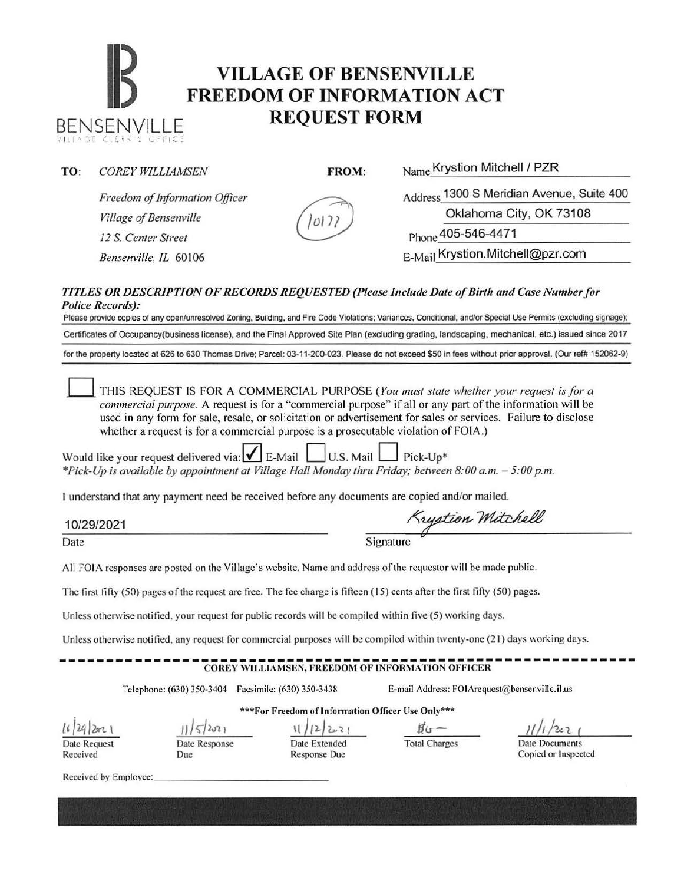# **IB VILLAGE OF BENSENVILLE**<br> **FREEDOM OF INFORMATION ACT** BENSENVILLE **REQUEST FORM**

**TO:** *COREY WILLIAMSEN* **FROM: Name Krystion Mitchell I PZR** 

*Freedom of Information Officer Village of Bensenville 12 S. Center Street* Phone 405-546-4471

Address 1300 S Meridian Avenue, Suite 400 Oklahoma City, OK 73108

*Bensenville, IL* 60106 **E-Mail Krystion.Mitchell@pzr.com** 

#### *TITLES OR DESCRIPTION OF RECORDS REQUESTED (Please Include Date of Birth and Case Number for Police Records):*

 $O(7)$ 

Please provide copies of any open/unresolved Zoning, Building, and Fire Code Violations; Variances, Conditional, and/or Special Use Permits (excluding signage); Certificates of Occupancy(business license). and the Final Approved Site Plan (excluding grading, landscaping, mechanical. etc.) issued since 2017 for the property located at 626 to 630 Thomas Drive: Parcel: 03-11-200-023. Please do not exceed \$50 in fees without prior approval. (Our ref# 152062-9)

0 THIS REQUEST IS FOR A COMMERCIAL PURPOSE *(You must state whether your request is for a commercial purpose.* A request is for a "commercial purpose" if all or any part of the infonnation will be used in any form for sale, resale, or solicitation or advertisement for sales or services. Failure to disclose whether a request is for a commercial purpose is a prosecutable violation of FOIA.)

Would like your request delivered via:  $\blacksquare$  E-Mail  $\blacksquare$  U.S. Mail  $\blacksquare$  Pick-Up\* *\*Pick-Up is available by appointment at Village Hall Monday thru Friday; between 8:00a.m. - 5:00p.m.* 

I understand that any payment need be received before any documents are copied and/or mailed.

10/29/2021

Krystion Mitchell

Date Signature Signature

All FOIA responses are posted on the Village's website. Name and address of the requestor will be made public.

The first fifty  $(50)$  pages of the request are free. The fee charge is fifteen  $(15)$  cents after the first fifty  $(50)$  pages.

Unless otherwise notified. your request for public records will be compiled within five (5) working days.

Unless otherwise notified. any request for commercial purposes will be compiled within twenty-one (21) days working days.

## ------------------------------------------------------------- COREY WILLIAMSEN, FREEDOM OF INFORMATION OFFICER

\*\*\*For Freedom of Information Officer Usc Only\*\*\*

Telephone: (630) 350-3404 facsimile: (630) 350-3438 E-mail Address: fOIArequest@bensenville.il.us

*l' /2JI* 12n \ Date Request

Received

Date Response

Due

*JJ)S/2021* 1/2/2021 #w-

Date Extended Response Due

Total Charges Date Documents

Copied or Inspected

Received by Employee: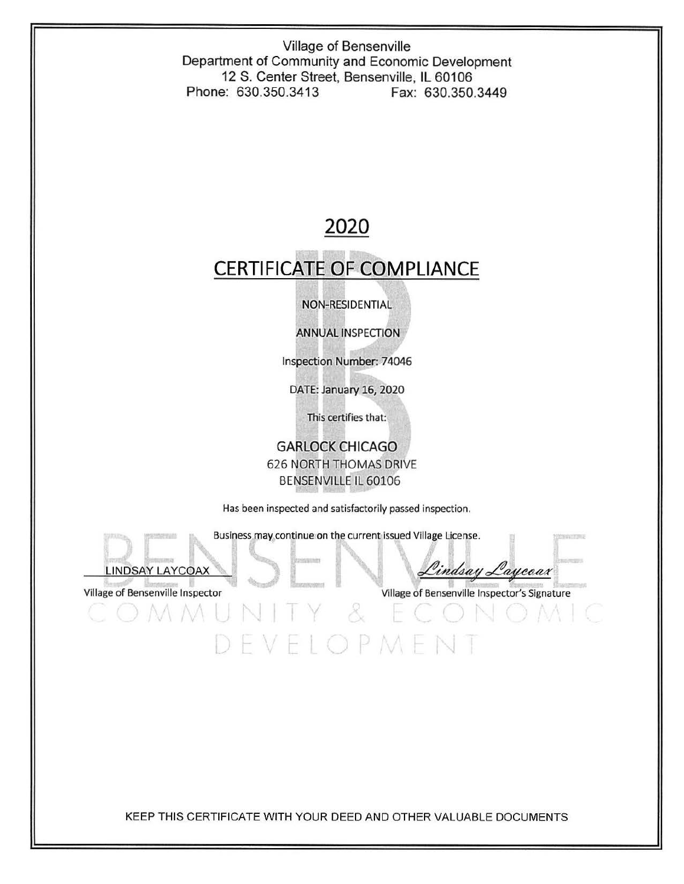Village of Bensenville Department of Community and Economic Development 12 S. Center Street, Bensenville, IL 60106 Phone: 630.350.3413 Fax: 630.350.3449

### **2020**

### **CERTIFICATE OF COMPLIANCE**

#### NON-RESIDENTIAL

ANNUAL INSPECTION

Inspection Number: 74046

DATE: January 16, 2020

This certifies that:

GARLOCK CHICAGO 626 NORTH THOMAS DRIVE BENSENVILLE IL 60106

Has been inspected and satisfactorily passed inspection.

Business,may,continue on the current issued Village License.

Å.

EVELOPMEN



r

indsay Laycoax

Village of Bensenville Inspector Village of Bensenville Inspector's Signature

KEEP THIS CERTIFICATE WITH YOUR DEED AND OTHER VALUABLE DOCUMENTS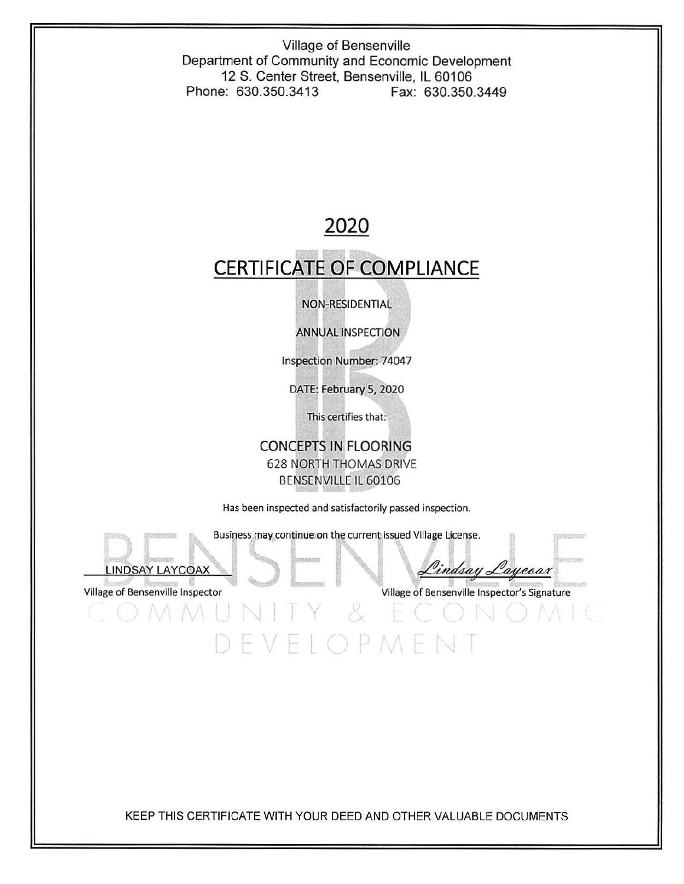Village of Bensenville Department of Community and Economic Development 12 S. Center Street, Bensenville, IL 60106 Phone: 630.350.3413 Fax: 630.350.3449

### **2020**

### **CERTIFICATE OF COMPLIANCE**

### NON-RESIDENTIAL

ANNUAL INSPECTION

Inspection Number: 74047

DATE: February 5, 2020

This certifies that:

### CONCEPTS IN FLOORING 628 NORTH THOMAS DRIVE BENSENVILLE IL 60106

Has been inspected and satisfactorily passed inspection.

Business may continue on the current issued Village License.

VELOPMEN

 $\mathcal{S}$ 



Lindsay Laycoax

Village of Bensenville Inspector Village of Bensenville Inspector's Signature

KEEP THIS CERTIFICATE WITH YOUR DEED AND OTHER VALUABLE DOCUMENTS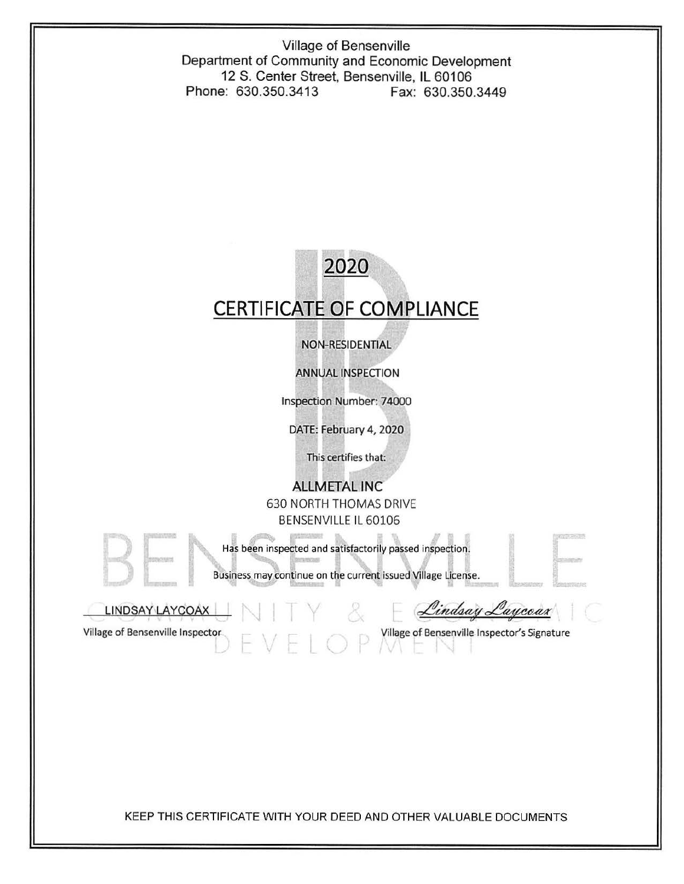Village of Bensenville Department of Community and Economic Development 12 S. Center Street, Bensenville, IL 60106 Phone: 630.350.3413 Fax: 630.350.3449

## 2020 **CERTIFICATE OF COMPLIANCE**  NON-RESIDENTIAL ANNUAL INSPECTION Inspection Number: 74000 DATE: February 4, 2020 This certifies that: **ALLMETAL** INC 630 NORTH THOMAS DRIVE BENSENVILLE IL 60106 ~ Has been inspected and satisfactorily passed inspection. Business may continue on the current issued Village License. Lindsay Laycoax LINDSAY LAYCOAX Village of Bensenville Inspector **Village of Bensenville Inspector's Signature**

KEEP THIS CERTIFICATE WITH YOUR DEED AND OTHER VALUABLE DOCUMENTS